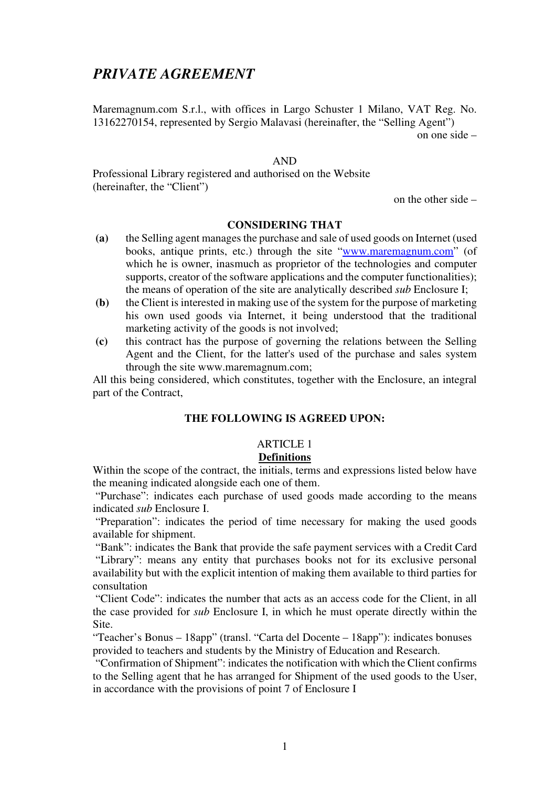# *PRIVATE AGREEMENT*

Maremagnum.com S.r.l., with offices in Largo Schuster 1 Milano, VAT Reg. No. 13162270154, represented by Sergio Malavasi (hereinafter, the "Selling Agent")

on one side –

#### AND

Professional Library registered and authorised on the Website (hereinafter, the "Client")

on the other side –

#### **CONSIDERING THAT**

- **(a)** the Selling agent manages the purchase and sale of used goods on Internet (used books, antique prints, etc.) through the site "www.maremagnum.com" (of which he is owner, inasmuch as proprietor of the technologies and computer supports, creator of the software applications and the computer functionalities); the means of operation of the site are analytically described *sub* Enclosure I;
- **(b)** the Client is interested in making use of the system for the purpose of marketing his own used goods via Internet, it being understood that the traditional marketing activity of the goods is not involved;
- **(c)** this contract has the purpose of governing the relations between the Selling Agent and the Client, for the latter's used of the purchase and sales system through the site www.maremagnum.com;

All this being considered, which constitutes, together with the Enclosure, an integral part of the Contract,

### **THE FOLLOWING IS AGREED UPON:**

# ARTICLE 1

### **Definitions**

Within the scope of the contract, the initials, terms and expressions listed below have the meaning indicated alongside each one of them.

 "Purchase": indicates each purchase of used goods made according to the means indicated *sub* Enclosure I.

 "Preparation": indicates the period of time necessary for making the used goods available for shipment.

 "Bank": indicates the Bank that provide the safe payment services with a Credit Card "Library": means any entity that purchases books not for its exclusive personal availability but with the explicit intention of making them available to third parties for consultation

 "Client Code": indicates the number that acts as an access code for the Client, in all the case provided for *sub* Enclosure I, in which he must operate directly within the Site.

"Teacher's Bonus – 18app" (transl. "Carta del Docente – 18app"): indicates bonuses provided to teachers and students by the Ministry of Education and Research.

 "Confirmation of Shipment": indicates the notification with which the Client confirms to the Selling agent that he has arranged for Shipment of the used goods to the User, in accordance with the provisions of point 7 of Enclosure I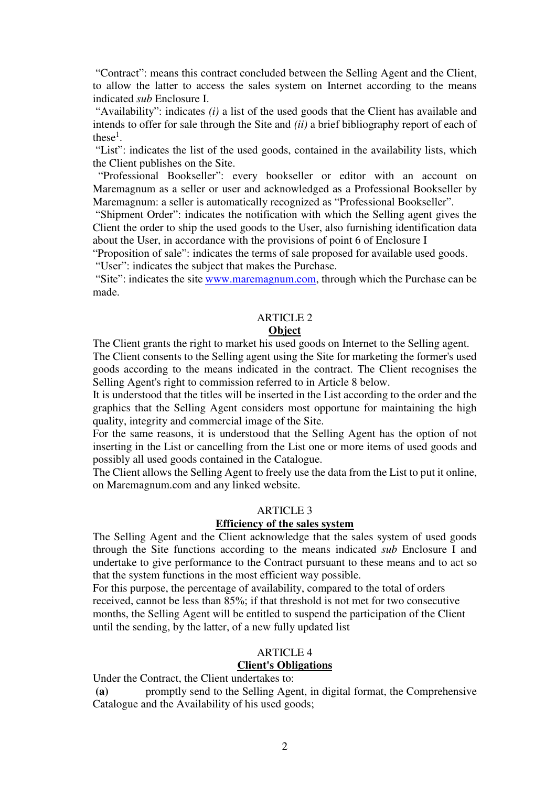"Contract": means this contract concluded between the Selling Agent and the Client, to allow the latter to access the sales system on Internet according to the means indicated *sub* Enclosure I.

 "Availability": indicates *(i)* a list of the used goods that the Client has available and intends to offer for sale through the Site and *(ii)* a brief bibliography report of each of these<sup>1</sup>.

 "List": indicates the list of the used goods, contained in the availability lists, which the Client publishes on the Site.

 "Professional Bookseller": every bookseller or editor with an account on Maremagnum as a seller or user and acknowledged as a Professional Bookseller by Maremagnum: a seller is automatically recognized as "Professional Bookseller".

 "Shipment Order": indicates the notification with which the Selling agent gives the Client the order to ship the used goods to the User, also furnishing identification data about the User, in accordance with the provisions of point 6 of Enclosure I

"Proposition of sale": indicates the terms of sale proposed for available used goods.

"User": indicates the subject that makes the Purchase.

 "Site": indicates the site www.maremagnum.com, through which the Purchase can be made.

### ARTICLE 2

### **Object**

The Client grants the right to market his used goods on Internet to the Selling agent. The Client consents to the Selling agent using the Site for marketing the former's used goods according to the means indicated in the contract. The Client recognises the Selling Agent's right to commission referred to in Article 8 below.

It is understood that the titles will be inserted in the List according to the order and the graphics that the Selling Agent considers most opportune for maintaining the high quality, integrity and commercial image of the Site.

For the same reasons, it is understood that the Selling Agent has the option of not inserting in the List or cancelling from the List one or more items of used goods and possibly all used goods contained in the Catalogue.

The Client allows the Selling Agent to freely use the data from the List to put it online, on Maremagnum.com and any linked website.

#### ARTICLE 3

### **Efficiency of the sales system**

The Selling Agent and the Client acknowledge that the sales system of used goods through the Site functions according to the means indicated *sub* Enclosure I and undertake to give performance to the Contract pursuant to these means and to act so that the system functions in the most efficient way possible.

For this purpose, the percentage of availability, compared to the total of orders received, cannot be less than 85%; if that threshold is not met for two consecutive months, the Selling Agent will be entitled to suspend the participation of the Client until the sending, by the latter, of a new fully updated list

#### ARTICLE 4 **Client's Obligations**

Under the Contract, the Client undertakes to:

 **(a)** promptly send to the Selling Agent, in digital format, the Comprehensive Catalogue and the Availability of his used goods;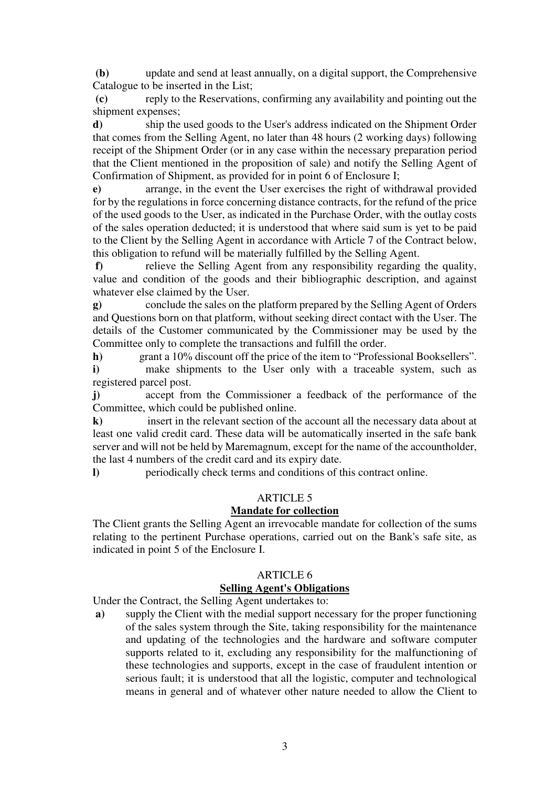**(b)** update and send at least annually, on a digital support, the Comprehensive Catalogue to be inserted in the List;

 **(c)** reply to the Reservations, confirming any availability and pointing out the shipment expenses;

**d)** ship the used goods to the User's address indicated on the Shipment Order that comes from the Selling Agent, no later than 48 hours (2 working days) following receipt of the Shipment Order (or in any case within the necessary preparation period that the Client mentioned in the proposition of sale) and notify the Selling Agent of Confirmation of Shipment, as provided for in point 6 of Enclosure I;

**e)** arrange, in the event the User exercises the right of withdrawal provided for by the regulations in force concerning distance contracts, for the refund of the price of the used goods to the User, as indicated in the Purchase Order, with the outlay costs of the sales operation deducted; it is understood that where said sum is yet to be paid to the Client by the Selling Agent in accordance with Article 7 of the Contract below, this obligation to refund will be materially fulfilled by the Selling Agent.

 **f)** relieve the Selling Agent from any responsibility regarding the quality, value and condition of the goods and their bibliographic description, and against whatever else claimed by the User.

**g)** conclude the sales on the platform prepared by the Selling Agent of Orders and Questions born on that platform, without seeking direct contact with the User. The details of the Customer communicated by the Commissioner may be used by the Committee only to complete the transactions and fulfill the order.

**h)** grant a 10% discount off the price of the item to "Professional Booksellers".

**i)** make shipments to the User only with a traceable system, such as registered parcel post.

**j)** accept from the Commissioner a feedback of the performance of the Committee, which could be published online.

**k)** insert in the relevant section of the account all the necessary data about at least one valid credit card. These data will be automatically inserted in the safe bank server and will not be held by Maremagnum, except for the name of the accountholder, the last 4 numbers of the credit card and its expiry date.

**l)** periodically check terms and conditions of this contract online.

### ARTICLE 5

## **Mandate for collection**

The Client grants the Selling Agent an irrevocable mandate for collection of the sums relating to the pertinent Purchase operations, carried out on the Bank's safe site, as indicated in point 5 of the Enclosure I.

### ARTICLE 6

#### **Selling Agent's Obligations**

Under the Contract, the Selling Agent undertakes to:

 **a)** supply the Client with the medial support necessary for the proper functioning of the sales system through the Site, taking responsibility for the maintenance and updating of the technologies and the hardware and software computer supports related to it, excluding any responsibility for the malfunctioning of these technologies and supports, except in the case of fraudulent intention or serious fault; it is understood that all the logistic, computer and technological means in general and of whatever other nature needed to allow the Client to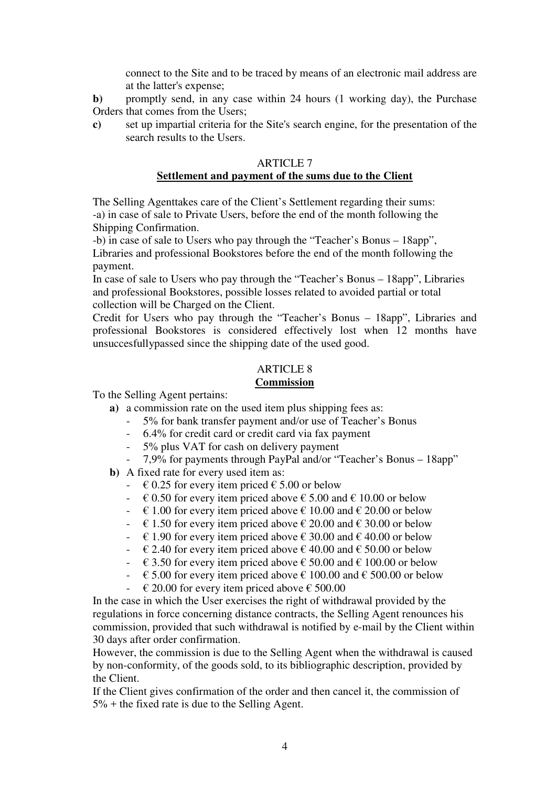connect to the Site and to be traced by means of an electronic mail address are at the latter's expense;

**b**) promptly send, in any case within 24 hours (1 working day), the Purchase Orders that comes from the Users;

**c)** set up impartial criteria for the Site's search engine, for the presentation of the search results to the Users.

### ARTICLE 7 **Settlement and payment of the sums due to the Client**

The Selling Agenttakes care of the Client's Settlement regarding their sums: -a) in case of sale to Private Users, before the end of the month following the Shipping Confirmation.

-b) in case of sale to Users who pay through the "Teacher's Bonus – 18app", Libraries and professional Bookstores before the end of the month following the payment.

In case of sale to Users who pay through the "Teacher's Bonus – 18app", Libraries and professional Bookstores, possible losses related to avoided partial or total collection will be Charged on the Client.

Credit for Users who pay through the "Teacher's Bonus – 18app", Libraries and professional Bookstores is considered effectively lost when 12 months have unsuccesfullypassed since the shipping date of the used good.

# ARTICLE 8

## **Commission**

To the Selling Agent pertains:

- **a)** a commission rate on the used item plus shipping fees as:
	- 5% for bank transfer payment and/or use of Teacher's Bonus
	- 6.4% for credit card or credit card via fax payment
	- 5% plus VAT for cash on delivery payment
	- 7,9% for payments through PayPal and/or "Teacher's Bonus 18app"
- **b)** A fixed rate for every used item as:
	- $\div 60.25$  for every item priced  $\angle 5.00$  or below
	- $\div$   $\in$  0.50 for every item priced above  $\in$  5.00 and  $\in$  10.00 or below
	- $\text{\textdegree{}} \in 1.00$  for every item priced above  $\text{\textdegree{}} 10.00$  and  $\text{\textdegree{}} 20.00$  or below
	- $\text{\textdegree{}} \in 1.50$  for every item priced above  $\text{\textdegree{}} 20.00$  and  $\text{\textdegree{}} 30.00$  or below
	- $\text{\textdegree{}} \in 1.90$  for every item priced above  $\text{\textdegree{}} 30.00$  and  $\text{\textdegree{}} 40.00$  or below
	- $\epsilon$  2.40 for every item priced above  $\epsilon$  40.00 and  $\epsilon$  50.00 or below
	- $\div$   $\in$  3.50 for every item priced above  $\in$  50.00 and  $\in$  100.00 or below
	- $\div$   $\in$  5.00 for every item priced above  $\in$  100.00 and  $\in$  500.00 or below
	- $\div$   $\in$  20.00 for every item priced above  $\in$  500.00

In the case in which the User exercises the right of withdrawal provided by the regulations in force concerning distance contracts, the Selling Agent renounces his commission, provided that such withdrawal is notified by e-mail by the Client within 30 days after order confirmation.

However, the commission is due to the Selling Agent when the withdrawal is caused by non-conformity, of the goods sold, to its bibliographic description, provided by the Client.

If the Client gives confirmation of the order and then cancel it, the commission of 5% + the fixed rate is due to the Selling Agent.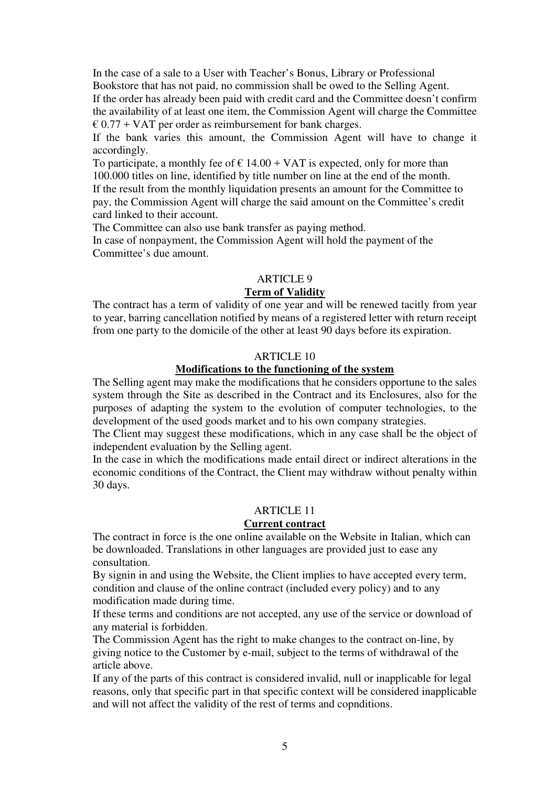In the case of a sale to a User with Teacher's Bonus, Library or Professional Bookstore that has not paid, no commission shall be owed to the Selling Agent. If the order has already been paid with credit card and the Committee doesn't confirm the availability of at least one item, the Commission Agent will charge the Committee

 $\epsilon$  0.77 + VAT per order as reimbursement for bank charges.

If the bank varies this amount, the Commission Agent will have to change it accordingly.

To participate, a monthly fee of  $\epsilon$  14.00 + VAT is expected, only for more than 100.000 titles on line, identified by title number on line at the end of the month. If the result from the monthly liquidation presents an amount for the Committee to pay, the Commission Agent will charge the said amount on the Committee's credit card linked to their account.

The Committee can also use bank transfer as paying method.

In case of nonpayment, the Commission Agent will hold the payment of the Committee's due amount.

### ARTICLE 9

#### **Term of Validity**

The contract has a term of validity of one year and will be renewed tacitly from year to year, barring cancellation notified by means of a registered letter with return receipt from one party to the domicile of the other at least 90 days before its expiration.

## ARTICLE 10

#### **Modifications to the functioning of the system**

The Selling agent may make the modifications that he considers opportune to the sales system through the Site as described in the Contract and its Enclosures, also for the purposes of adapting the system to the evolution of computer technologies, to the development of the used goods market and to his own company strategies.

The Client may suggest these modifications, which in any case shall be the object of independent evaluation by the Selling agent.

In the case in which the modifications made entail direct or indirect alterations in the economic conditions of the Contract, the Client may withdraw without penalty within 30 days.

### ARTICLE 11

#### **Current contract**

The contract in force is the one online available on the Website in Italian, which can be downloaded. Translations in other languages are provided just to ease any consultation.

By signin in and using the Website, the Client implies to have accepted every term, condition and clause of the online contract (included every policy) and to any modification made during time.

If these terms and conditions are not accepted, any use of the service or download of any material is forbidden.

The Commission Agent has the right to make changes to the contract on-line, by giving notice to the Customer by e-mail, subject to the terms of withdrawal of the article above.

If any of the parts of this contract is considered invalid, null or inapplicable for legal reasons, only that specific part in that specific context will be considered inapplicable and will not affect the validity of the rest of terms and copnditions.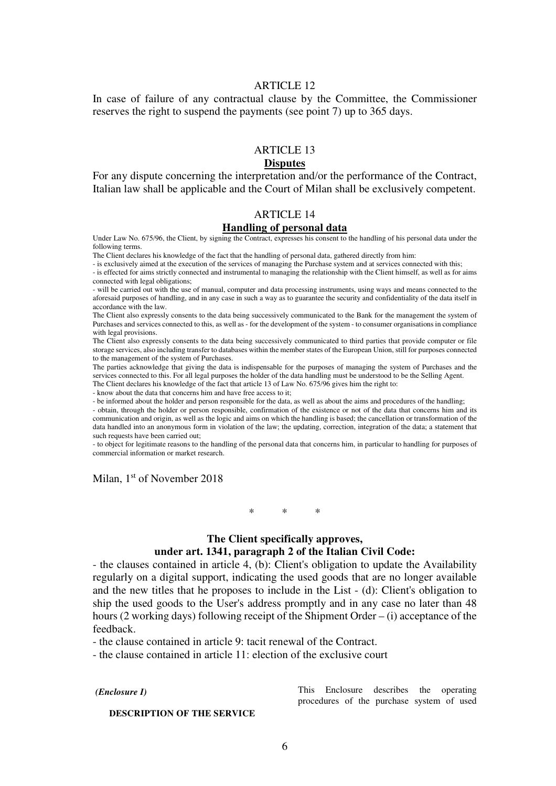#### ARTICLE 12

In case of failure of any contractual clause by the Committee, the Commissioner reserves the right to suspend the payments (see point 7) up to 365 days.

### ARTICLE 13

#### **Disputes**

For any dispute concerning the interpretation and/or the performance of the Contract, Italian law shall be applicable and the Court of Milan shall be exclusively competent.

#### ARTICLE 14

#### **Handling of personal data**

Under Law No. 675/96, the Client, by signing the Contract, expresses his consent to the handling of his personal data under the following terms.

The Client declares his knowledge of the fact that the handling of personal data, gathered directly from him:

- is exclusively aimed at the execution of the services of managing the Purchase system and at services connected with this;

- is effected for aims strictly connected and instrumental to managing the relationship with the Client himself, as well as for aims connected with legal obligations;

- will be carried out with the use of manual, computer and data processing instruments, using ways and means connected to the aforesaid purposes of handling, and in any case in such a way as to guarantee the security and confidentiality of the data itself in accordance with the law.

The Client also expressly consents to the data being successively communicated to the Bank for the management the system of Purchases and services connected to this, as well as - for the development of the system - to consumer organisations in compliance with legal provisions.

The Client also expressly consents to the data being successively communicated to third parties that provide computer or file storage services, also including transfer to databases within the member states of the European Union, still for purposes connected to the management of the system of Purchases.

The parties acknowledge that giving the data is indispensable for the purposes of managing the system of Purchases and the services connected to this. For all legal purposes the holder of the data handling must be understood to be the Selling Agent. The Client declares his knowledge of the fact that article 13 of Law No. 675/96 gives him the right to:

- know about the data that concerns him and have free access to it;

- be informed about the holder and person responsible for the data, as well as about the aims and procedures of the handling;

- obtain, through the holder or person responsible, confirmation of the existence or not of the data that concerns him and its communication and origin, as well as the logic and aims on which the handling is based; the cancellation or transformation of the data handled into an anonymous form in violation of the law; the updating, correction, integration of the data; a statement that such requests have been carried out:

- to object for legitimate reasons to the handling of the personal data that concerns him, in particular to handling for purposes of commercial information or market research.

Milan, 1<sup>st</sup> of November 2018

\* \* \*

#### **The Client specifically approves, under art. 1341, paragraph 2 of the Italian Civil Code:**

- the clauses contained in article 4, (b): Client's obligation to update the Availability regularly on a digital support, indicating the used goods that are no longer available and the new titles that he proposes to include in the List - (d): Client's obligation to ship the used goods to the User's address promptly and in any case no later than 48 hours (2 working days) following receipt of the Shipment Order – (i) acceptance of the feedback.

- the clause contained in article 9: tacit renewal of the Contract.

- the clause contained in article 11: election of the exclusive court

#### *(Enclosure I)*

**DESCRIPTION OF THE SERVICE** 

This Enclosure describes the operating procedures of the purchase system of used